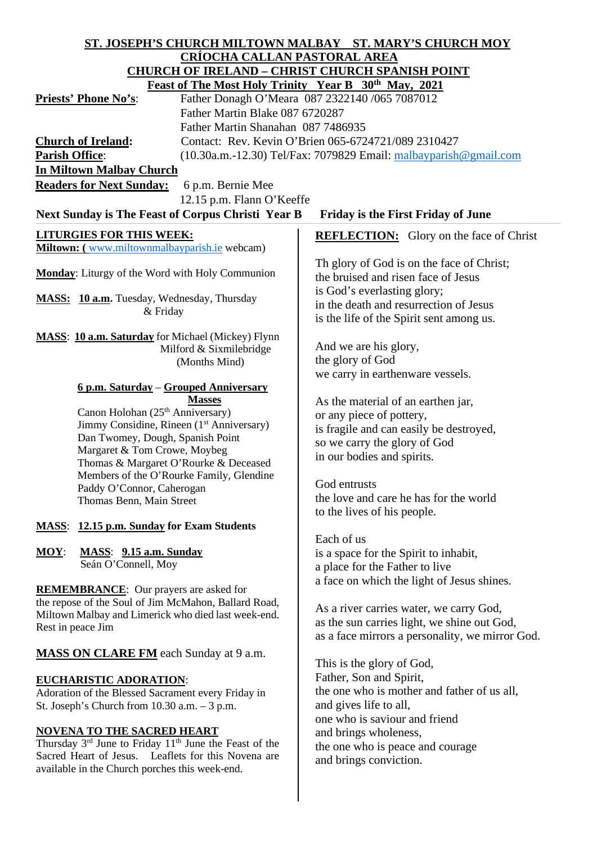| ST. JOSEPH'S CHURCH MILTOWN MALBAY ST. MARY'S CHURCH MOY                                                            |                                                 |
|---------------------------------------------------------------------------------------------------------------------|-------------------------------------------------|
| <b>CRÍOCHA CALLAN PASTORAL AREA</b>                                                                                 |                                                 |
| <b>CHURCH OF IRELAND - CHRIST CHURCH SPANISH POINT</b>                                                              |                                                 |
| Feast of The Most Holy Trinity Year B 30 <sup>th</sup> May, 2021                                                    |                                                 |
| Father Donagh O'Meara 087 2322140 /065 7087012<br><b>Priests' Phone No's:</b>                                       |                                                 |
| Father Martin Blake 087 6720287                                                                                     |                                                 |
| Father Martin Shanahan 087 7486935                                                                                  |                                                 |
| Contact: Rev. Kevin O'Brien 065-6724721/089 2310427<br><b>Church of Ireland:</b>                                    |                                                 |
| <b>Parish Office:</b><br>$(10.30a.m.-12.30)$ Tel/Fax: 7079829 Email: $malbayparish@gmail.com$                       |                                                 |
| <b>In Miltown Malbay Church</b>                                                                                     |                                                 |
| <b>Readers for Next Sunday:</b><br>6 p.m. Bernie Mee                                                                |                                                 |
| 12.15 p.m. Flann O'Keeffe                                                                                           |                                                 |
| Next Sunday is The Feast of Corpus Christi Year B<br><b>Friday is the First Friday of June</b>                      |                                                 |
|                                                                                                                     |                                                 |
| <b>LITURGIES FOR THIS WEEK:</b>                                                                                     | <b>REFLECTION:</b> Glory on the face of Christ  |
| Miltown: (www.miltownmalbayparish.ie webcam)                                                                        |                                                 |
| <b>Monday:</b> Liturgy of the Word with Holy Communion                                                              | Th glory of God is on the face of Christ;       |
|                                                                                                                     | the bruised and risen face of Jesus             |
| MASS: 10 a.m. Tuesday, Wednesday, Thursday                                                                          | is God's everlasting glory;                     |
| & Friday                                                                                                            | in the death and resurrection of Jesus          |
|                                                                                                                     | is the life of the Spirit sent among us.        |
| <b>MASS:</b> 10 a.m. Saturday for Michael (Mickey) Flynn                                                            |                                                 |
| Milford & Sixmilebridge                                                                                             | And we are his glory,                           |
| (Months Mind)                                                                                                       | the glory of God                                |
|                                                                                                                     | we carry in earthenware vessels.                |
| <u> 6 p.m. Saturday – Grouped Anniversary</u>                                                                       |                                                 |
| <b>Masses</b><br>Canon Holohan (25 <sup>th</sup> Anniversary)                                                       | As the material of an earthen jar,              |
| Jimmy Considine, Rineen (1 <sup>st</sup> Anniversary)                                                               | or any piece of pottery,                        |
| Dan Twomey, Dough, Spanish Point                                                                                    | is fragile and can easily be destroyed,         |
| Margaret & Tom Crowe, Moybeg                                                                                        | so we carry the glory of God                    |
| Thomas & Margaret O'Rourke & Deceased                                                                               | in our bodies and spirits.                      |
| Members of the O'Rourke Family, Glendine                                                                            |                                                 |
| Paddy O'Connor, Caherogan                                                                                           | God entrusts                                    |
| Thomas Benn, Main Street                                                                                            | the love and care he has for the world          |
|                                                                                                                     | to the lives of his people.                     |
| <b>MASS:</b> 12.15 p.m. Sunday for Exam Students                                                                    |                                                 |
|                                                                                                                     | Each of us                                      |
| $MOY$ :<br>MASS: 9.15 a.m. Sunday<br>Seán O'Connell, Moy                                                            | is a space for the Spirit to inhabit,           |
|                                                                                                                     | a place for the Father to live                  |
| <b>REMEMBRANCE:</b> Our prayers are asked for                                                                       | a face on which the light of Jesus shines.      |
| the repose of the Soul of Jim McMahon, Ballard Road,                                                                |                                                 |
| Miltown Malbay and Limerick who died last week-end.                                                                 | As a river carries water, we carry God,         |
| Rest in peace Jim                                                                                                   | as the sun carries light, we shine out God,     |
|                                                                                                                     | as a face mirrors a personality, we mirror God. |
| <b>MASS ON CLARE FM</b> each Sunday at 9 a.m.                                                                       |                                                 |
|                                                                                                                     | This is the glory of God,                       |
| <b>EUCHARISTIC ADORATION:</b>                                                                                       | Father, Son and Spirit,                         |
| Adoration of the Blessed Sacrament every Friday in                                                                  | the one who is mother and father of us all,     |
| St. Joseph's Church from $10.30$ a.m. $-3$ p.m.                                                                     | and gives life to all,                          |
|                                                                                                                     | one who is saviour and friend                   |
| <b>NOVENA TO THE SACRED HEART</b><br>Thursday 3 <sup>rd</sup> June to Friday 11 <sup>th</sup> June the Feast of the | and brings wholeness,                           |
| Sacred Heart of Jesus. Leaflets for this Novena are                                                                 | the one who is peace and courage                |
| available in the Church porches this week-end.                                                                      | and brings conviction.                          |
|                                                                                                                     |                                                 |
|                                                                                                                     |                                                 |
|                                                                                                                     |                                                 |